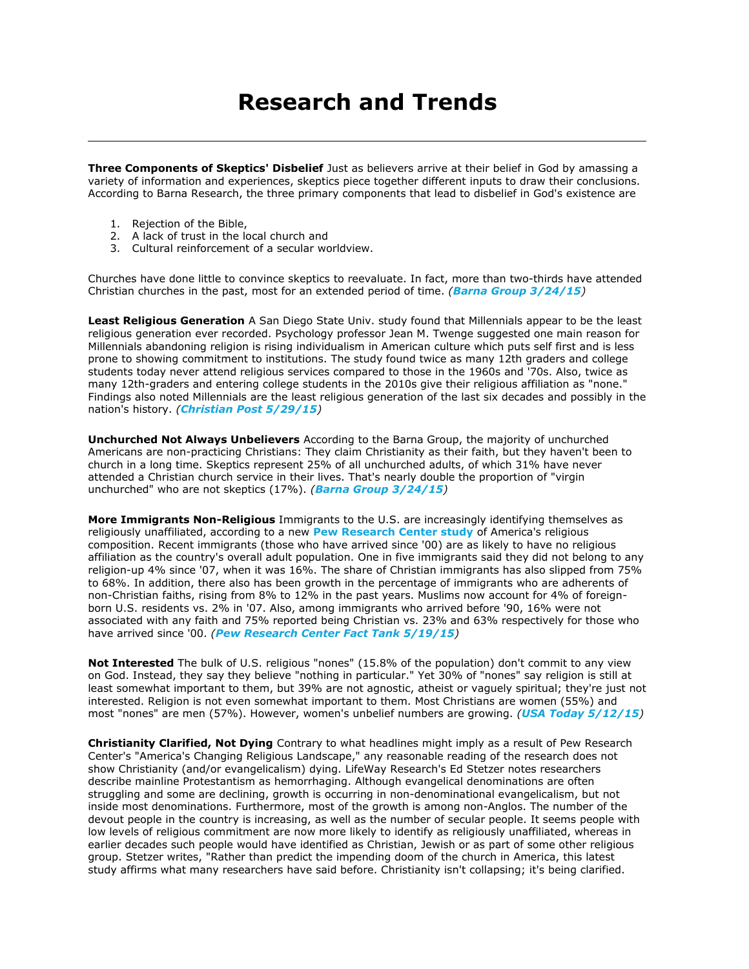# **Research and Trends**

**Three Components of Skeptics' Disbelief** Just as believers arrive at their belief in God by amassing a variety of information and experiences, skeptics piece together different inputs to draw their conclusions. According to Barna Research, the three primary components that lead to disbelief in God's existence are

- 1. Rejection of the Bible,
- 2. A lack of trust in the local church and
- 3. Cultural reinforcement of a secular worldview.

Churches have done little to convince skeptics to reevaluate. In fact, more than two-thirds have attended Christian churches in the past, most for an extended period of time. *([Barna Group 3/24/15](https://www.barna.org/barna-update/culture/713-2015-state-of-atheism-in-america#.VY3a_VyoXHg))*

**Least Religious Generation** A San Diego State Univ. study found that Millennials appear to be the least religious generation ever recorded. Psychology professor Jean M. Twenge suggested one main reason for Millennials abandoning religion is rising individualism in American culture which puts self first and is less prone to showing commitment to institutions. The study found twice as many 12th graders and college students today never attend religious services compared to those in the 1960s and '70s. Also, twice as many 12th-graders and entering college students in the 2010s give their religious affiliation as "none." Findings also noted Millennials are the least religious generation of the last six decades and possibly in the nation's history. *([Christian Post 5/29/15](http://www.christianpost.com/news/millennials-are-the-most-selfish-least-religious-generation-in-nations-history-study-finds-139729/))*

**Unchurched Not Always Unbelievers** According to the Barna Group, the majority of unchurched Americans are non-practicing Christians: They claim Christianity as their faith, but they haven't been to church in a long time. Skeptics represent 25% of all unchurched adults, of which 31% have never attended a Christian church service in their lives. That's nearly double the proportion of "virgin unchurched" who are not skeptics (17%). *([Barna Group 3/24/15](https://www.barna.org/barna-update/culture/713-2015-state-of-atheism-in-america#.VY3a_VyoXHg))*

**More Immigrants Non-Religious** Immigrants to the U.S. are increasingly identifying themselves as religiously unaffiliated, according to a new **[Pew Research Center study](http://www.pewforum.org/2015/05/12/americas-changing-religious-landscape/)** of America's religious composition. Recent immigrants (those who have arrived since '00) are as likely to have no religious affiliation as the country's overall adult population. One in five immigrants said they did not belong to any religion-up 4% since '07, when it was 16%. The share of Christian immigrants has also slipped from 75% to 68%. In addition, there also has been growth in the percentage of immigrants who are adherents of non-Christian faiths, rising from 8% to 12% in the past years. Muslims now account for 4% of foreignborn U.S. residents vs. 2% in '07. Also, among immigrants who arrived before '90, 16% were not associated with any faith and 75% reported being Christian vs. 23% and 63% respectively for those who have arrived since '00. *([Pew Research Center Fact Tank 5/19/15](http://www.pewresearch.org/fact-tank/2015/05/19/growing-share-of-u-s-immigrants-have-no-religious-affiliation/))*

**Not Interested** The bulk of U.S. religious "nones" (15.8% of the population) don't commit to any view on God. Instead, they say they believe "nothing in particular." Yet 30% of "nones" say religion is still at least somewhat important to them, but 39% are not agnostic, atheist or vaguely spiritual; they're just not interested. Religion is not even somewhat important to them. Most Christians are women (55%) and most "nones" are men (57%). However, women's unbelief numbers are growing. *([USA Today 5/12/15](http://www.usatoday.com/story/news/nation/2015/05/12/christians-drop-nones-soar-in-new-religion-portrait/27159533/))*

**Christianity Clarified, Not Dying** Contrary to what headlines might imply as a result of Pew Research Center's "America's Changing Religious Landscape," any reasonable reading of the research does not show Christianity (and/or evangelicalism) dying. LifeWay Research's Ed Stetzer notes researchers describe mainline Protestantism as hemorrhaging. Although evangelical denominations are often struggling and some are declining, growth is occurring in non-denominational evangelicalism, but not inside most denominations. Furthermore, most of the growth is among non-Anglos. The number of the devout people in the country is increasing, as well as the number of secular people. It seems people with low levels of religious commitment are now more likely to identify as religiously unaffiliated, whereas in earlier decades such people would have identified as Christian, Jewish or as part of some other religious group. Stetzer writes, "Rather than predict the impending doom of the church in America, this latest study affirms what many researchers have said before. Christianity isn't collapsing; it's being clarified.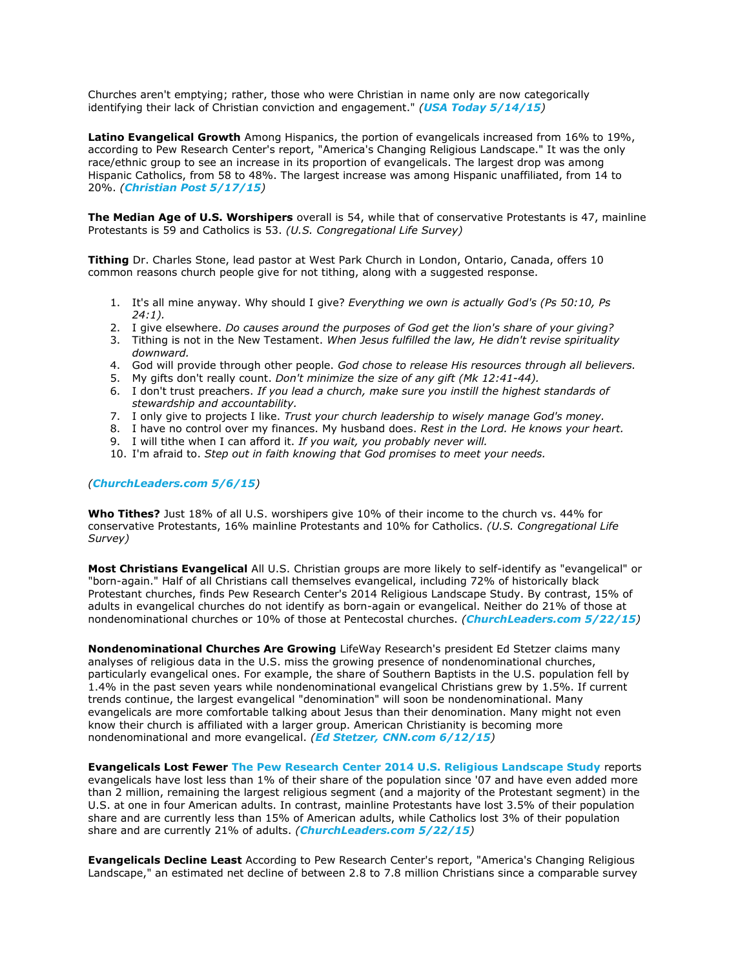Churches aren't emptying; rather, those who were Christian in name only are now categorically identifying their lack of Christian conviction and engagement." *([USA Today 5/14/15](http://www.usatoday.com/story/opinion/2015/05/13/nones-americans-christians-evangelicals-column/27198423/))*

**Latino Evangelical Growth** Among Hispanics, the portion of evangelicals increased from 16% to 19%, according to Pew Research Center's report, "America's Changing Religious Landscape." It was the only race/ethnic group to see an increase in its proportion of evangelicals. The largest drop was among Hispanic Catholics, from 58 to 48%. The largest increase was among Hispanic unaffiliated, from 14 to 20%. *([Christian Post 5/17/15](http://www.christianpost.com/news/10-interesting-facts-about-evangelicals-from-pews-religion-report-139195/))*

**The Median Age of U.S. Worshipers** overall is 54, while that of conservative Protestants is 47, mainline Protestants is 59 and Catholics is 53. *(U.S. Congregational Life Survey)*

**Tithing** Dr. Charles Stone, lead pastor at West Park Church in London, Ontario, Canada, offers 10 common reasons church people give for not tithing, along with a suggested response.

- 1. It's all mine anyway. Why should I give? *Everything we own is actually God's (Ps 50:10, Ps 24:1).*
- 2. I give elsewhere. *Do causes around the purposes of God get the lion's share of your giving?*
- 3. Tithing is not in the New Testament. *When Jesus fulfilled the law, He didn't revise spirituality downward.*
- 4. God will provide through other people. *God chose to release His resources through all believers.*
- 5. My gifts don't really count. *Don't minimize the size of any gift (Mk 12:41-44).*
- 6. I don't trust preachers. *If you lead a church, make sure you instill the highest standards of stewardship and accountability.*
- 7. I only give to projects I like. *Trust your church leadership to wisely manage God's money.*
- 8. I have no control over my finances. My husband does. *Rest in the Lord. He knows your heart.*
- 9. I will tithe when I can afford it. *If you wait, you probably never will.*
- 10. I'm afraid to. *Step out in faith knowing that God promises to meet your needs.*

#### *([ChurchLeaders.com 5/6/15](http://www.churchleaders.com/pastors/pastor-articles/253164-top-10-reasons-people-dont-tithe.html))*

**Who Tithes?** Just 18% of all U.S. worshipers give 10% of their income to the church vs. 44% for conservative Protestants, 16% mainline Protestants and 10% for Catholics. *(U.S. Congregational Life Survey)*

**Most Christians Evangelical** All U.S. Christian groups are more likely to self-identify as "evangelical" or "born-again." Half of all Christians call themselves evangelical, including 72% of historically black Protestant churches, finds Pew Research Center's 2014 Religious Landscape Study. By contrast, 15% of adults in evangelical churches do not identify as born-again or evangelical. Neither do 21% of those at nondenominational churches or 10% of those at Pentecostal churches. *([ChurchLeaders.com 5/22/15](http://www.churchleaders.com/daily-buzz/254163-future-evangelicals-u-s-looks-brighter-christianity-large-says-pew-research.html))*

**Nondenominational Churches Are Growing** LifeWay Research's president Ed Stetzer claims many analyses of religious data in the U.S. miss the growing presence of nondenominational churches, particularly evangelical ones. For example, the share of Southern Baptists in the U.S. population fell by 1.4% in the past seven years while nondenominational evangelical Christians grew by 1.5%. If current trends continue, the largest evangelical "denomination" will soon be nondenominational. Many evangelicals are more comfortable talking about Jesus than their denomination. Many might not even know their church is affiliated with a larger group. American Christianity is becoming more nondenominational and more evangelical. *([Ed Stetzer, CNN.com 6/12/15](http://www.cnn.com/2015/06/12/living/stetzer-christian-nones/))*

**Evangelicals Lost Fewer [The Pew Research Center 2014 U.S. Religious Landscape Study](http://www.pewforum.org/2015/05/12/americas-changing-religious-landscape/)** reports evangelicals have lost less than 1% of their share of the population since '07 and have even added more than 2 million, remaining the largest religious segment (and a majority of the Protestant segment) in the U.S. at one in four American adults. In contrast, mainline Protestants have lost 3.5% of their population share and are currently less than 15% of American adults, while Catholics lost 3% of their population share and are currently 21% of adults. *([ChurchLeaders.com 5/22/15](http://www.churchleaders.com/daily-buzz/254163-future-evangelicals-u-s-looks-brighter-christianity-large-says-pew-research.html))*

**Evangelicals Decline Least** According to Pew Research Center's report, "America's Changing Religious Landscape," an estimated net decline of between 2.8 to 7.8 million Christians since a comparable survey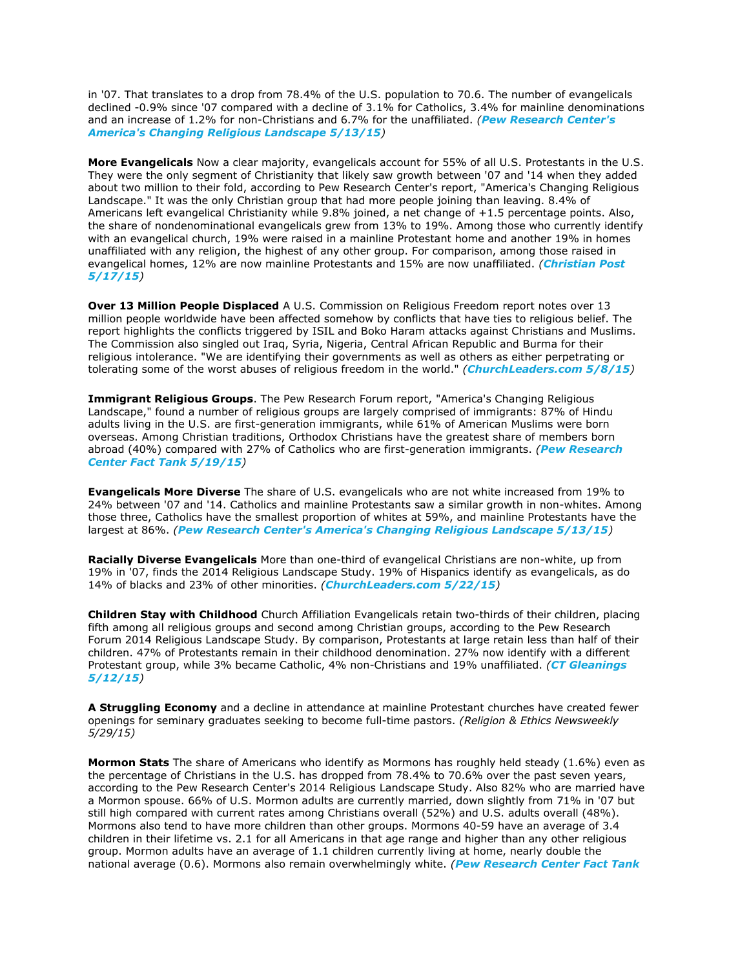in '07. That translates to a drop from 78.4% of the U.S. population to 70.6. The number of evangelicals declined -0.9% since '07 compared with a decline of 3.1% for Catholics, 3.4% for mainline denominations and an increase of 1.2% for non-Christians and 6.7% for the unaffiliated. *([Pew Research](http://www.pewforum.org/2015/05/12/americas-changing-religious-landscape/) Center's [America's Changing Religious Landscape 5/13/15](http://www.pewforum.org/2015/05/12/americas-changing-religious-landscape/))*

**More Evangelicals** Now a clear majority, evangelicals account for 55% of all U.S. Protestants in the U.S. They were the only segment of Christianity that likely saw growth between '07 and '14 when they added about two million to their fold, according to Pew Research Center's report, "America's Changing Religious Landscape." It was the only Christian group that had more people joining than leaving. 8.4% of Americans left evangelical Christianity while 9.8% joined, a net change of +1.5 percentage points. Also, the share of nondenominational evangelicals grew from 13% to 19%. Among those who currently identify with an evangelical church, 19% were raised in a mainline Protestant home and another 19% in homes unaffiliated with any religion, the highest of any other group. For comparison, among those raised in evangelical homes, 12% are now mainline Protestants and 15% are now unaffiliated. *([Christian Post](http://www.christianpost.com/news/10-interesting-facts-about-evangelicals-from-pews-religion-report-139195/)  [5/17/15](http://www.christianpost.com/news/10-interesting-facts-about-evangelicals-from-pews-religion-report-139195/))*

**Over 13 Million People Displaced** A U.S. Commission on Religious Freedom report notes over 13 million people worldwide have been affected somehow by conflicts that have ties to religious belief. The report highlights the conflicts triggered by ISIL and Boko Haram attacks against Christians and Muslims. The Commission also singled out Iraq, Syria, Nigeria, Central African Republic and Burma for their religious intolerance. "We are identifying their governments as well as others as either perpetrating or tolerating some of the worst abuses of religious freedom in the world." *([ChurchLeaders.com 5/8/15](http://www.churchleaders.com/daily-buzz/253734-new-report-13-million-people-worldwide-displaced-religious-conflict.html))*

**Immigrant Religious Groups**. The Pew Research Forum report, "America's Changing Religious Landscape," found a number of religious groups are largely comprised of immigrants: 87% of Hindu adults living in the U.S. are first-generation immigrants, while 61% of American Muslims were born overseas. Among Christian traditions, Orthodox Christians have the greatest share of members born abroad (40%) compared with 27% of Catholics who are first-generation immigrants. *([Pew Research](http://www.pewresearch.org/fact-tank/2015/05/19/growing-share-of-u-s-immigrants-have-no-religious-affiliation/)  [Center Fact Tank 5/19/15](http://www.pewresearch.org/fact-tank/2015/05/19/growing-share-of-u-s-immigrants-have-no-religious-affiliation/))*

**Evangelicals More Diverse** The share of U.S. evangelicals who are not white increased from 19% to 24% between '07 and '14. Catholics and mainline Protestants saw a similar growth in non-whites. Among those three, Catholics have the smallest proportion of whites at 59%, and mainline Protestants have the largest at 86%. *([Pew Research Center's America's Changing Religious Landscape 5/13/15](http://www.pewforum.org/2015/05/12/americas-changing-religious-landscape/))*

**Racially Diverse Evangelicals** More than one-third of evangelical Christians are non-white, up from 19% in '07, finds the 2014 Religious Landscape Study. 19% of Hispanics identify as evangelicals, as do 14% of blacks and 23% of other minorities. *([ChurchLeaders.com 5/22/15](http://www.churchleaders.com/daily-buzz/254163-future-evangelicals-u-s-looks-brighter-christianity-large-says-pew-research.html))*

**Children Stay with Childhood** Church Affiliation Evangelicals retain two-thirds of their children, placing fifth among all religious groups and second among Christian groups, according to the Pew Research Forum 2014 Religious Landscape Study. By comparison, Protestants at large retain less than half of their children. 47% of Protestants remain in their childhood denomination. 27% now identify with a different Protestant group, while 3% became Catholic, 4% non-Christians and 19% unaffiliated. *([CT Gleanings](http://www.christianitytoday.com/gleanings/2015/may/pew-evangelicals-stay-strong-us-religious-landscape-study.html)  [5/12/15](http://www.christianitytoday.com/gleanings/2015/may/pew-evangelicals-stay-strong-us-religious-landscape-study.html))*

**A Struggling Economy** and a decline in attendance at mainline Protestant churches have created fewer openings for seminary graduates seeking to become full-time pastors. *(Religion & Ethics Newsweekly 5/29/15)*

**Mormon Stats** The share of Americans who identify as Mormons has roughly held steady (1.6%) even as the percentage of Christians in the U.S. has dropped from 78.4% to 70.6% over the past seven years, according to the Pew Research Center's 2014 Religious Landscape Study. Also 82% who are married have a Mormon spouse. 66% of U.S. Mormon adults are currently married, down slightly from 71% in '07 but still high compared with current rates among Christians overall (52%) and U.S. adults overall (48%). Mormons also tend to have more children than other groups. Mormons 40-59 have an average of 3.4 children in their lifetime vs. 2.1 for all Americans in that age range and higher than any other religious group. Mormon adults have an average of 1.1 children currently living at home, nearly double the national average (0.6). Mormons also remain overwhelmingly white. *([Pew Research Center Fact Tank](http://www.pewresearch.org/fact-tank/2015/05/22/mormons-more-likely-to-marry-have-more-children-than-other-u-s-religious-groups/)*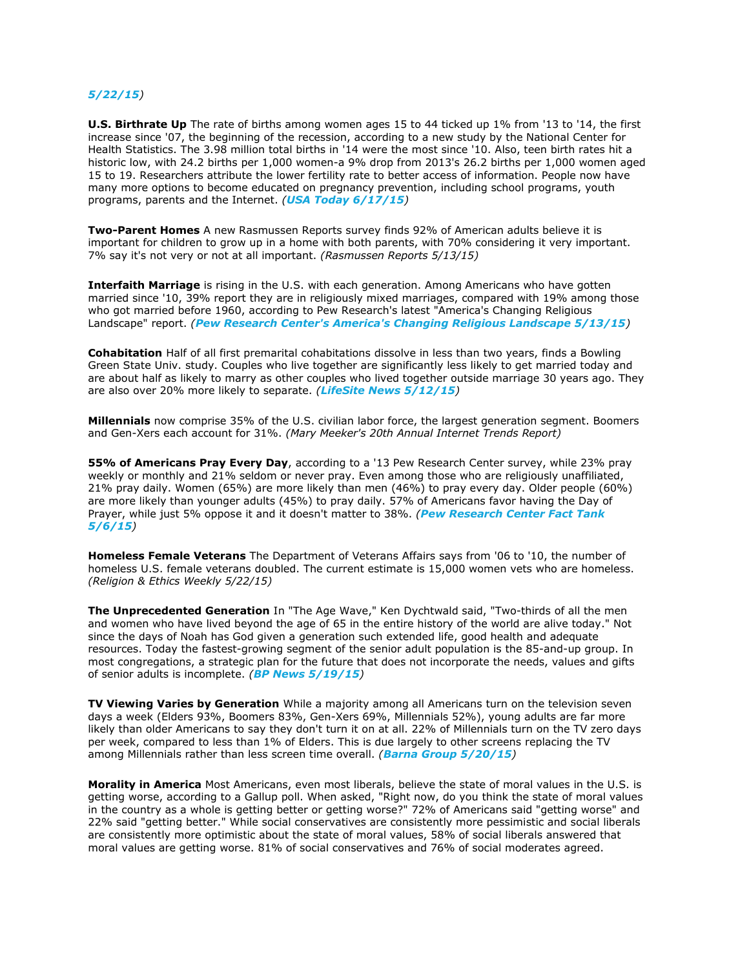### *[5/22/15](http://www.pewresearch.org/fact-tank/2015/05/22/mormons-more-likely-to-marry-have-more-children-than-other-u-s-religious-groups/))*

**U.S. Birthrate Up** The rate of births among women ages 15 to 44 ticked up 1% from '13 to '14, the first increase since '07, the beginning of the recession, according to a new study by the National Center for Health Statistics. The 3.98 million total births in '14 were the most since '10. Also, teen birth rates hit a historic low, with 24.2 births per 1,000 women-a 9% drop from 2013's 26.2 births per 1,000 women aged 15 to 19. Researchers attribute the lower fertility rate to better access of information. People now have many more options to become educated on pregnancy prevention, including school programs, youth programs, parents and the Internet. *([USA Today 6/17/15](http://www.usatoday.com/story/news/nation/2015/06/17/birth-rate-rises-us-women/28811271/))*

**Two-Parent Homes** A new Rasmussen Reports survey finds 92% of American adults believe it is important for children to grow up in a home with both parents, with 70% considering it very important. 7% say it's not very or not at all important. *(Rasmussen Reports 5/13/15)*

**Interfaith Marriage** is rising in the U.S. with each generation. Among Americans who have gotten married since '10, 39% report they are in religiously mixed marriages, compared with 19% among those who got married before 1960, according to Pew Research's latest "America's Changing Religious Landscape" report. *([Pew Research Center's America's Changing Religious Landscape 5/13/15](http://www.pewforum.org/2015/05/12/americas-changing-religious-landscape/))*

**Cohabitation** Half of all first premarital cohabitations dissolve in less than two years, finds a Bowling Green State Univ. study. Couples who live together are significantly less likely to get married today and are about half as likely to marry as other couples who lived together outside marriage 30 years ago. They are also over 20% more likely to separate. *([LifeSite News 5/12/15](https://www.lifesitenews.com/news/couples-living-together-before-marriage-less-likely-to-get-married-than-eve))*

**Millennials** now comprise 35% of the U.S. civilian labor force, the largest generation segment. Boomers and Gen-Xers each account for 31%. *(Mary Meeker's 20th Annual Internet Trends Report)* 

**55% of Americans Pray Every Day**, according to a '13 Pew Research Center survey, while 23% pray weekly or monthly and 21% seldom or never pray. Even among those who are religiously unaffiliated, 21% pray daily. Women (65%) are more likely than men (46%) to pray every day. Older people (60%) are more likely than younger adults (45%) to pray daily. 57% of Americans favor having the Day of Prayer, while just 5% oppose it and it doesn't matter to 38%. *([Pew Research Center Fact Tank](http://www.pewresearch.org/fact-tank/2015/05/06/5-facts-about-prayer/)  [5/6/15](http://www.pewresearch.org/fact-tank/2015/05/06/5-facts-about-prayer/))*

**Homeless Female Veterans** The Department of Veterans Affairs says from '06 to '10, the number of homeless U.S. female veterans doubled. The current estimate is 15,000 women vets who are homeless. *(Religion & Ethics Weekly 5/22/15)*

**The Unprecedented Generation** In "The Age Wave," Ken Dychtwald said, "Two-thirds of all the men and women who have lived beyond the age of 65 in the entire history of the world are alive today." Not since the days of Noah has God given a generation such extended life, good health and adequate resources. Today the fastest-growing segment of the senior adult population is the 85-and-up group. In most congregations, a strategic plan for the future that does not incorporate the needs, values and gifts of senior adults is incomplete. *([BP News 5/19/15](http://www.bpnews.net/44783/looming-senior-adult-revolution-to-impact-nation))*

**TV Viewing Varies by Generation** While a majority among all Americans turn on the television seven days a week (Elders 93%, Boomers 83%, Gen-Xers 69%, Millennials 52%), young adults are far more likely than older Americans to say they don't turn it on at all. 22% of Millennials turn on the TV zero days per week, compared to less than 1% of Elders. This is due largely to other screens replacing the TV among Millennials rather than less screen time overall. *([Barna Group 5/20/15](https://www.barna.org/barna-update/media-watch/720-network-cable-streaming-what-americans-are-watching-in-2015))*

**Morality in America** Most Americans, even most liberals, believe the state of moral values in the U.S. is getting worse, according to a Gallup poll. When asked, "Right now, do you think the state of moral values in the country as a whole is getting better or getting worse?" 72% of Americans said "getting worse" and 22% said "getting better." While social conservatives are consistently more pessimistic and social liberals are consistently more optimistic about the state of moral values, 58% of social liberals answered that moral values are getting worse. 81% of social conservatives and 76% of social moderates agreed.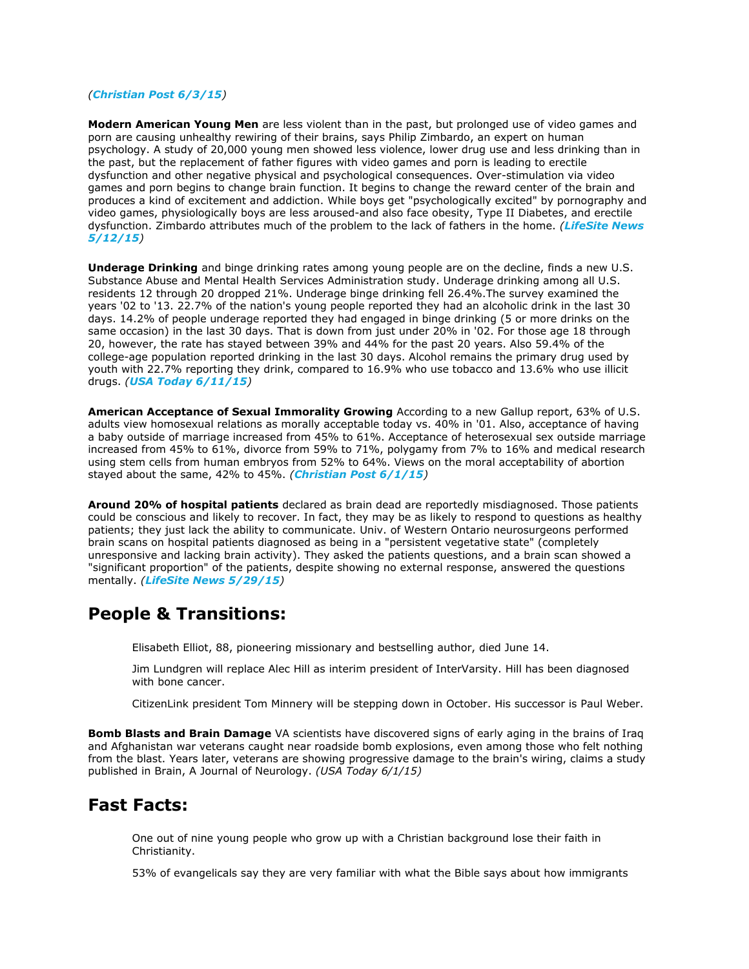### *([Christian Post 6/3/15](http://www.christianpost.com/news/even-most-liberals-believe-america-is-in-moral-decline-139919/))*

**Modern American Young Men** are less violent than in the past, but prolonged use of video games and porn are causing unhealthy rewiring of their brains, says Philip Zimbardo, an expert on human psychology. A study of 20,000 young men showed less violence, lower drug use and less drinking than in the past, but the replacement of father figures with video games and porn is leading to erectile dysfunction and other negative physical and psychological consequences. Over-stimulation via video games and porn begins to change brain function. It begins to change the reward center of the brain and produces a kind of excitement and addiction. While boys get "psychologically excited" by pornography and video games, physiologically boys are less aroused-and also face obesity, Type II Diabetes, and erectile dysfunction. Zimbardo attributes much of the problem to the lack of fathers in the home. *([LifeSite News](https://www.lifesitenews.com/news/porn-and-video-games-are-harming-boys-brains-and-bodies-psychologist)  [5/12/15](https://www.lifesitenews.com/news/porn-and-video-games-are-harming-boys-brains-and-bodies-psychologist))*

**Underage Drinking** and binge drinking rates among young people are on the decline, finds a new U.S. Substance Abuse and Mental Health Services Administration study. Underage drinking among all U.S. residents 12 through 20 dropped 21%. Underage binge drinking fell 26.4%.The survey examined the years '02 to '13. 22.7% of the nation's young people reported they had an alcoholic drink in the last 30 days. 14.2% of people underage reported they had engaged in binge drinking (5 or more drinks on the same occasion) in the last 30 days. That is down from just under 20% in '02. For those age 18 through 20, however, the rate has stayed between 39% and 44% for the past 20 years. Also 59.4% of the college-age population reported drinking in the last 30 days. Alcohol remains the primary drug used by youth with 22.7% reporting they drink, compared to 16.9% who use tobacco and 13.6% who use illicit drugs. *([USA Today 6/11/15](http://www.usatoday.com/story/news/2015/06/11/underage-binge-drinking/71021464/))*

**American Acceptance of Sexual Immorality Growing** According to a new Gallup report, 63% of U.S. adults view homosexual relations as morally acceptable today vs. 40% in '01. Also, acceptance of having a baby outside of marriage increased from 45% to 61%. Acceptance of heterosexual sex outside marriage increased from 45% to 61%, divorce from 59% to 71%, polygamy from 7% to 16% and medical research using stem cells from human embryos from 52% to 64%. Views on the moral acceptability of abortion stayed about the same, 42% to 45%. *([Christian Post 6/1/15](http://www.christianpost.com/news/americans-acceptance-of-wide-range-of-sexual-immorality-growing-gallup-finds-139748/))*

**Around 20% of hospital patients** declared as brain dead are reportedly misdiagnosed. Those patients could be conscious and likely to recover. In fact, they may be as likely to respond to questions as healthy patients; they just lack the ability to communicate. Univ. of Western Ontario neurosurgeons performed brain scans on hospital patients diagnosed as being in a "persistent vegetative state" (completely unresponsive and lacking brain activity). They asked the patients questions, and a brain scan showed a "significant proportion" of the patients, despite showing no external response, answered the questions mentally. *([LifeSite News 5/29/15](https://www.lifesitenews.com/news/one-in-five-vegetative-patients-is-misdiagnosed-study))*

## **People & Transitions:**

Elisabeth Elliot, 88, pioneering missionary and bestselling author, died June 14.

Jim Lundgren will replace Alec Hill as interim president of InterVarsity. Hill has been diagnosed with bone cancer.

CitizenLink president Tom Minnery will be stepping down in October. His successor is Paul Weber.

**Bomb Blasts and Brain Damage** VA scientists have discovered signs of early aging in the brains of Iraq and Afghanistan war veterans caught near roadside bomb explosions, even among those who felt nothing from the blast. Years later, veterans are showing progressive damage to the brain's wiring, claims a study published in Brain, A Journal of Neurology. *(USA Today 6/1/15)*

### **Fast Facts:**

One out of nine young people who grow up with a Christian background lose their faith in Christianity.

53% of evangelicals say they are very familiar with what the Bible says about how immigrants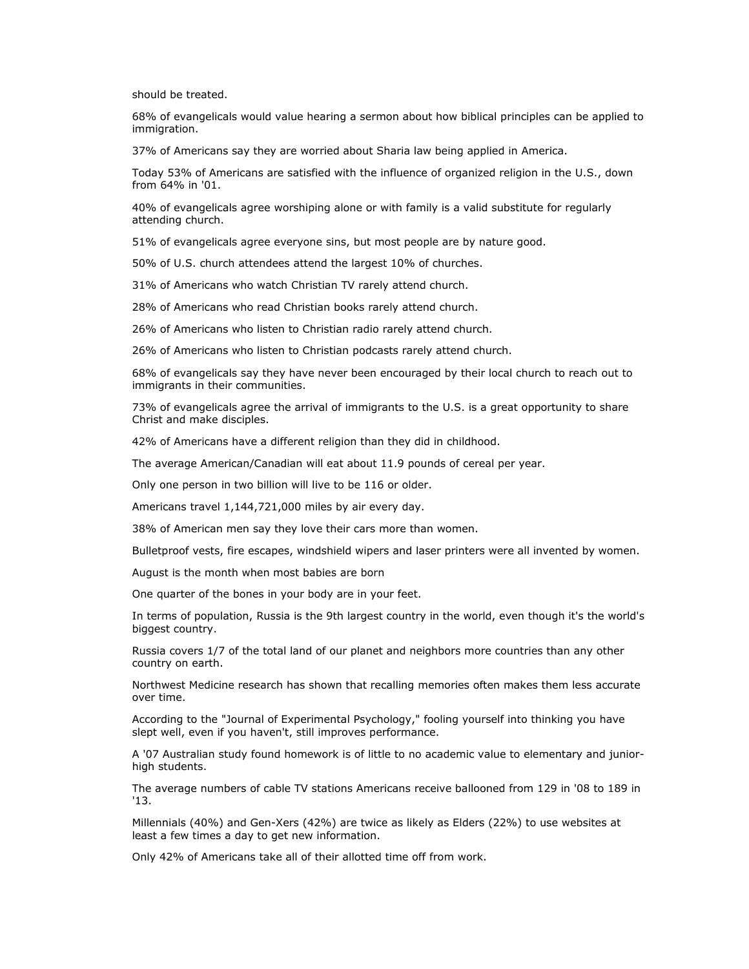should be treated.

68% of evangelicals would value hearing a sermon about how biblical principles can be applied to immigration.

37% of Americans say they are worried about Sharia law being applied in America.

Today 53% of Americans are satisfied with the influence of organized religion in the U.S., down from 64% in '01.

40% of evangelicals agree worshiping alone or with family is a valid substitute for regularly attending church.

51% of evangelicals agree everyone sins, but most people are by nature good.

50% of U.S. church attendees attend the largest 10% of churches.

31% of Americans who watch Christian TV rarely attend church.

28% of Americans who read Christian books rarely attend church.

26% of Americans who listen to Christian radio rarely attend church.

26% of Americans who listen to Christian podcasts rarely attend church.

68% of evangelicals say they have never been encouraged by their local church to reach out to immigrants in their communities.

73% of evangelicals agree the arrival of immigrants to the U.S. is a great opportunity to share Christ and make disciples.

42% of Americans have a different religion than they did in childhood.

The average American/Canadian will eat about 11.9 pounds of cereal per year.

Only one person in two billion will live to be 116 or older.

Americans travel 1,144,721,000 miles by air every day.

38% of American men say they love their cars more than women.

Bulletproof vests, fire escapes, windshield wipers and laser printers were all invented by women.

August is the month when most babies are born

One quarter of the bones in your body are in your feet.

In terms of population, Russia is the 9th largest country in the world, even though it's the world's biggest country.

Russia covers 1/7 of the total land of our planet and neighbors more countries than any other country on earth.

Northwest Medicine research has shown that recalling memories often makes them less accurate over time.

According to the "Journal of Experimental Psychology," fooling yourself into thinking you have slept well, even if you haven't, still improves performance.

A '07 Australian study found homework is of little to no academic value to elementary and juniorhigh students.

The average numbers of cable TV stations Americans receive ballooned from 129 in '08 to 189 in '13.

Millennials (40%) and Gen-Xers (42%) are twice as likely as Elders (22%) to use websites at least a few times a day to get new information.

Only 42% of Americans take all of their allotted time off from work.